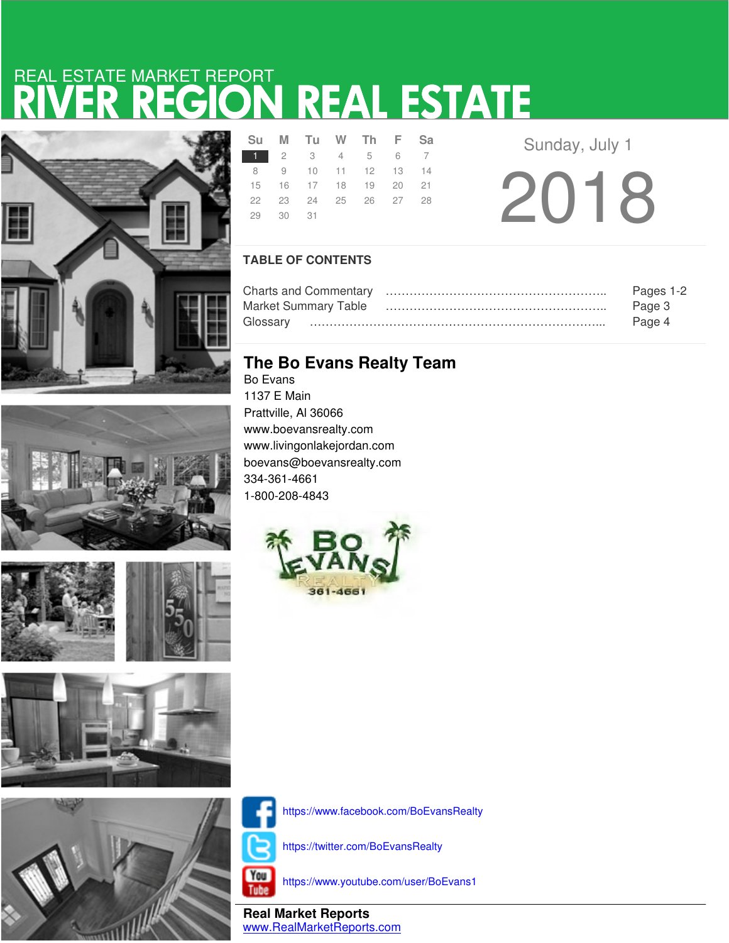# RIVER REGION REAL ESTATE REAL ESTATE MARKET REPORT





**SANTA STATE** 







|               |          | Su M Tu W Th F Sa    |  |  |  |  |
|---------------|----------|----------------------|--|--|--|--|
| 1 2 3 4 5 6 7 |          |                      |  |  |  |  |
|               |          | 8 9 10 11 12 13 14   |  |  |  |  |
|               |          | 15 16 17 18 19 20 21 |  |  |  |  |
|               |          | 22 23 24 25 26 27 28 |  |  |  |  |
|               | 29 30 31 |                      |  |  |  |  |
|               |          |                      |  |  |  |  |

Sunday, July 1

2018

### **TABLE OF CONTENTS**

|                             | Pages 1-2 |
|-----------------------------|-----------|
| <b>Market Summary Table</b> | Page 3    |
| Glossarv                    | Page 4    |

## **The Bo Evans Realty Team**

Bo Evans 1137 E Main Prattville, Al 36066 www.boevansrealty.com www.livingonlakejordan.com boevans@boevansrealty.com 334-361-4661 1-800-208-4843





https://www.facebook.com/BoEvansRealty

https://twitter.com/BoEvansRealty



https://www.youtube.com/user/BoEvans1

**Real Market Reports** www.RealMarketReports.com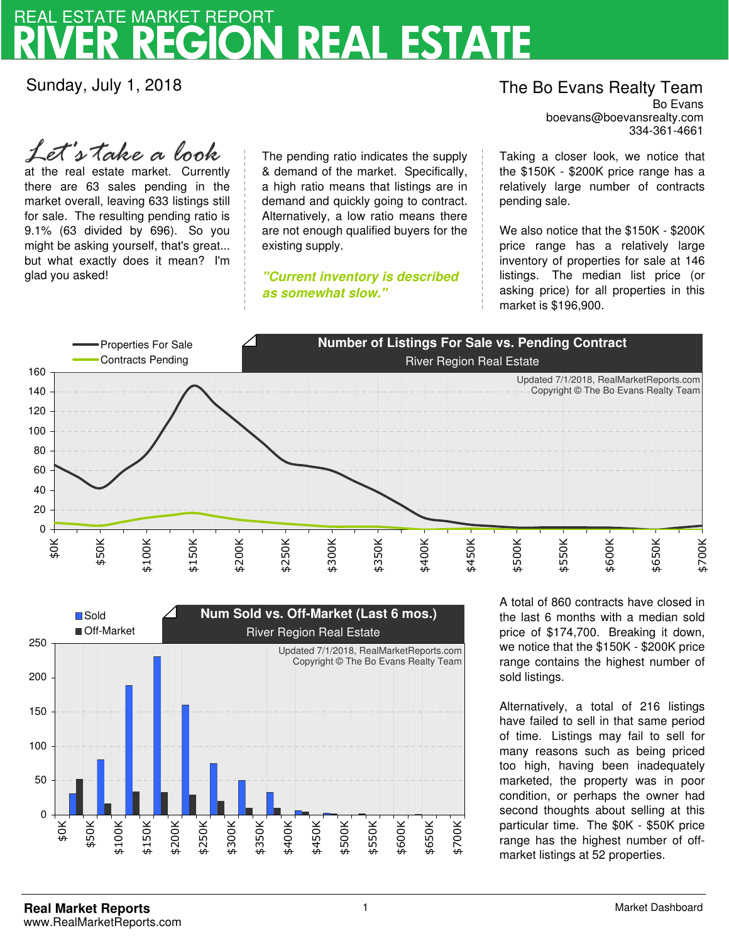# **REAL ESTATE** REAL ESTATE MARKET REPORT

existing supply.

**as somewhat slow."**

Sunday, July 1, 2018

glad you asked!

at the real estate market. Currently there are 63 sales pending in the market overall, leaving 633 listings still for sale. The resulting pending ratio is 9.1% (63 divided by 696). So you might be asking yourself, that's great... but what exactly does it mean? I'm

*Let's take a look*

boevans@boevansrealty.com The Bo Evans Realty Team Bo Evans 334-361-4661

Taking a closer look, we notice that the \$150K - \$200K price range has a relatively large number of contracts pending sale.

We also notice that the \$150K - \$200K price range has a relatively large inventory of properties for sale at 146 listings. The median list price (or asking price) for all properties in this market is \$196,900.



The pending ratio indicates the supply & demand of the market. Specifically, a high ratio means that listings are in demand and quickly going to contract. Alternatively, a low ratio means there are not enough qualified buyers for the

**"Current inventory is described** 



A total of 860 contracts have closed in the last 6 months with a median sold price of \$174,700. Breaking it down, we notice that the \$150K - \$200K price range contains the highest number of sold listings.

Alternatively, a total of 216 listings have failed to sell in that same period of time. Listings may fail to sell for many reasons such as being priced too high, having been inadequately marketed, the property was in poor condition, or perhaps the owner had second thoughts about selling at this particular time. The \$0K - \$50K price range has the highest number of offmarket listings at 52 properties.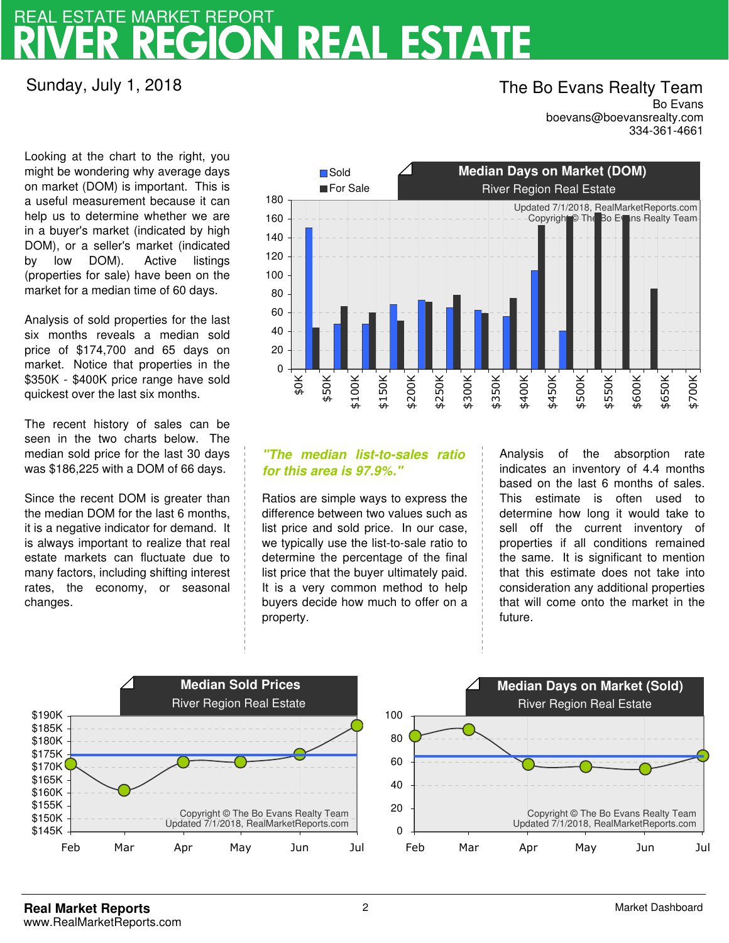# **REAL ESTATE** REAL ESTATE MARKET REPORT

## Sunday, July 1, 2018

### boevans@boevansrealty.com The Bo Evans Realty Team Bo Evans 334-361-4661

Looking at the chart to the right, you might be wondering why average days on market (DOM) is important. This is a useful measurement because it can help us to determine whether we are in a buyer's market (indicated by high DOM), or a seller's market (indicated by low DOM). Active listings (properties for sale) have been on the market for a median time of 60 days.

Analysis of sold properties for the last six months reveals a median sold price of \$174,700 and 65 days on market. Notice that properties in the \$350K - \$400K price range have sold quickest over the last six months.

The recent history of sales can be seen in the two charts below. The median sold price for the last 30 days was \$186,225 with a DOM of 66 days.

Since the recent DOM is greater than the median DOM for the last 6 months, it is a negative indicator for demand. It is always important to realize that real estate markets can fluctuate due to many factors, including shifting interest rates, the economy, or seasonal changes.



### **"The median list-to-sales ratio for this area is 97.9%."**

Ratios are simple ways to express the difference between two values such as list price and sold price. In our case, we typically use the list-to-sale ratio to determine the percentage of the final list price that the buyer ultimately paid. It is a very common method to help buyers decide how much to offer on a property.

Analysis of the absorption rate indicates an inventory of 4.4 months based on the last 6 months of sales. This estimate is often used to determine how long it would take to sell off the current inventory of properties if all conditions remained the same. It is significant to mention that this estimate does not take into consideration any additional properties that will come onto the market in the future.

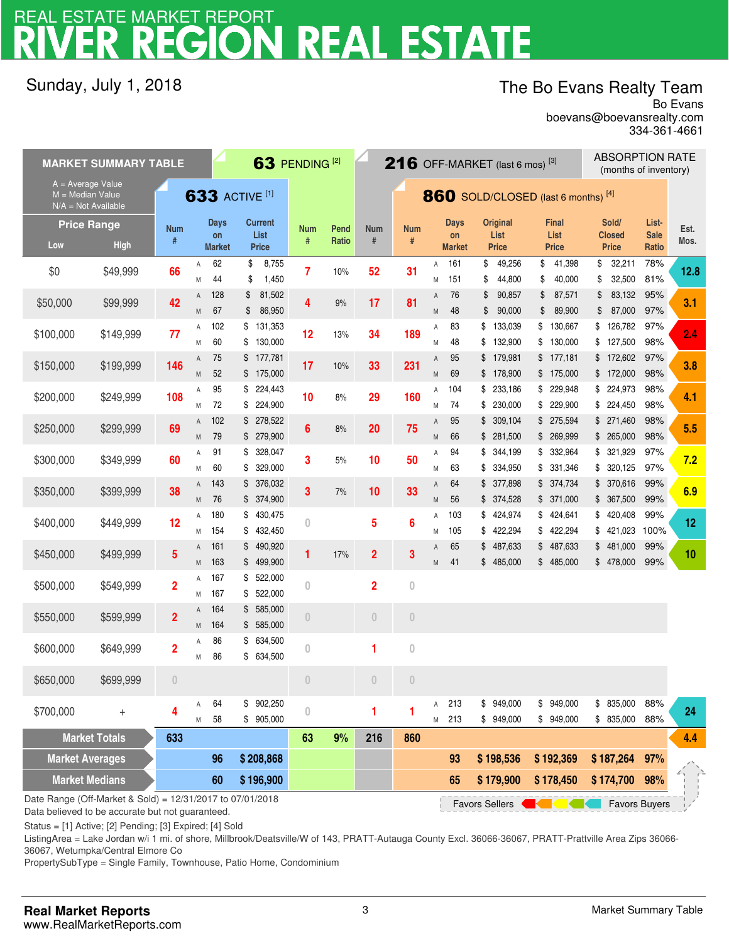# **V REAL ESTATE** REAL ESTATE MARKET REPORT

## Sunday, July 1, 2018

## The Bo Evans Realty Team

boevans@boevansrealty.com Bo Evans 334-361-4661

|                                                                  | <b>MARKET SUMMARY TABLE</b>                                                                                |                         |        |                     |                                | 63 PENDING <sup>[2]</sup> |                                     |                         |                |                | 216 OFF-MARKET (last 6 mos) <sup>[3]</sup> |          |                        |          |                         |          |                               | <b>ABSORPTION RATE</b><br>(months of inventory) |      |  |
|------------------------------------------------------------------|------------------------------------------------------------------------------------------------------------|-------------------------|--------|---------------------|--------------------------------|---------------------------|-------------------------------------|-------------------------|----------------|----------------|--------------------------------------------|----------|------------------------|----------|-------------------------|----------|-------------------------------|-------------------------------------------------|------|--|
| A = Average Value<br>$M = Median Value$<br>$N/A = Not Available$ |                                                                                                            | <b>633 ACTIVE [1]</b>   |        |                     |                                |                           | 860 SOLD/CLOSED (last 6 months) [4] |                         |                |                |                                            |          |                        |          |                         |          |                               |                                                 |      |  |
| <b>Price Range</b>                                               |                                                                                                            | <b>Num</b>              |        | <b>Days</b>         | <b>Current</b>                 | <b>Num</b>                | Pend                                | <b>Num</b>              | <b>Num</b>     |                | <b>Days</b>                                |          | <b>Original</b>        |          | <b>Final</b>            |          | Sold/                         | List-                                           | Est. |  |
| Low                                                              | <b>High</b>                                                                                                | #                       |        | on<br><b>Market</b> | List<br><b>Price</b>           | #                         | Ratio                               | $\#$                    | #              |                | on<br><b>Market</b>                        |          | List<br><b>Price</b>   |          | List<br><b>Price</b>    |          | <b>Closed</b><br><b>Price</b> | <b>Sale</b><br>Ratio                            | Mos. |  |
| \$0                                                              | \$49,999                                                                                                   | 66                      | Α<br>M | 62<br>44            | \$<br>8,755<br>1,450<br>\$     | 7                         | 10%                                 | 52                      | 31             | Α<br>M         | 161<br>151                                 | \$<br>\$ | 49,256<br>44,800       | \$<br>\$ | 41,398<br>40,000        | \$<br>\$ | 32,211<br>32,500              | 78%<br>81%                                      | 12.8 |  |
| \$50,000                                                         | \$99,999                                                                                                   | 42                      | Α<br>M | 128<br>67           | 81,502<br>\$<br>86,950<br>\$   | 4                         | 9%                                  | 17                      | 81             | Α<br>M         | 76<br>48                                   | \$<br>\$ | 90,857<br>90,000       | \$<br>\$ | 87,571<br>89,900        | \$<br>\$ | 83,132<br>87,000              | 95%<br>97%                                      | 3.1  |  |
| \$100,000                                                        | \$149,999                                                                                                  | 77                      | Α<br>M | 102<br>60           | \$131,353<br>130,000<br>\$     | 12                        | 13%                                 | 34                      | 189            | Α<br>M         | 83<br>48                                   | \$<br>\$ | 133,039<br>132,900     | \$<br>\$ | 130,667<br>130,000      | \$<br>\$ | 126,782<br>127,500            | 97%<br>98%                                      | 2.4  |  |
| \$150,000                                                        | \$199,999                                                                                                  | 146                     | Α<br>M | 75<br>52            | \$177,781<br>\$175,000         | 17                        | 10%                                 | 33                      | 231            | A<br>M         | 95<br>69                                   |          | \$179,981<br>\$178,900 |          | \$177,181<br>\$175,000  |          | \$172,602<br>\$172,000        | 97%<br>98%                                      | 3.8  |  |
| \$200,000                                                        | \$249,999                                                                                                  | 108                     | Α<br>M | 95<br>72            | 224,443<br>\$<br>224,900<br>\$ | 10                        | $8\%$                               | 29                      | 160            | Α<br>M         | 104<br>74                                  | \$<br>\$ | 233,186<br>230,000     |          | \$229,948<br>\$229,900  | \$       | 224,973<br>\$224,450          | 98%<br>98%                                      | 4.1  |  |
| \$250,000                                                        | \$299,999                                                                                                  | 69                      | Α<br>M | 102<br>79           | \$278,522<br>\$ 279,900        | 6                         | $8\%$                               | 20                      | 75             | Α<br>${\sf M}$ | 95<br>66                                   | \$       | 309,104<br>\$281,500   |          | \$275,594<br>\$ 269,999 |          | \$271,460<br>\$265,000        | 98%<br>98%                                      | 5.5  |  |
| \$300,000                                                        | \$349,999                                                                                                  | 60                      | Α<br>Μ | 91<br>60            | 328,047<br>\$<br>329,000<br>S  | 3                         | 5%                                  | 10                      | 50             | Α<br>M         | 94<br>63                                   | \$<br>\$ | 344,199<br>334,950     |          | \$ 332,964<br>\$331,346 | \$<br>\$ | 321,929<br>320,125            | 97%<br>97%                                      | 7.2  |  |
| \$350,000                                                        | \$399,999                                                                                                  | 38                      | A<br>M | 143<br>76           | 376,032<br>\$<br>\$374,900     | 3                         | 7%                                  | 10                      | 33             | A<br>${\sf M}$ | 64<br>56                                   | \$       | 377,898<br>\$374,528   |          | \$374,734<br>\$371,000  | \$       | 370,616<br>\$367,500          | 99%<br>99%                                      | 6.9  |  |
| \$400,000                                                        | \$449,999                                                                                                  | 12                      | Α<br>Μ | 180<br>154          | \$430,475<br>\$432,450         | 0                         |                                     | 5                       | $6\phantom{a}$ | Α<br>M         | 103<br>105                                 | \$<br>\$ | 424,974<br>422,294     |          | \$424,641<br>\$422,294  | \$       | \$420,408<br>421,023          | 99%<br>100%                                     | 12   |  |
| \$450,000                                                        | \$499,999                                                                                                  | 5                       | Α<br>M | 161<br>163          | 490,920<br>\$<br>499,900<br>\$ | 1                         | 17%                                 | $\overline{\mathbf{2}}$ | 3              | Α<br>${\sf M}$ | 65<br>41                                   | \$       | 487,633<br>\$485,000   |          | \$487,633<br>\$485,000  | \$       | 481,000<br>\$478,000          | 99%<br>99%                                      | 10   |  |
| \$500,000                                                        | \$549,999                                                                                                  | $\overline{\mathbf{2}}$ | Α<br>Μ | 167<br>167          | 522,000<br>\$<br>522,000<br>\$ | 0                         |                                     | $\overline{2}$          | $\overline{0}$ |                |                                            |          |                        |          |                         |          |                               |                                                 |      |  |
| \$550,000                                                        | \$599,999                                                                                                  | $\overline{\mathbf{2}}$ | A<br>M | 164<br>164          | \$585,000<br>585,000<br>\$     | $\theta$                  |                                     | $\theta$                | $\theta$       |                |                                            |          |                        |          |                         |          |                               |                                                 |      |  |
| \$600,000                                                        | \$649,999                                                                                                  | $\overline{\mathbf{2}}$ | Α<br>M | 86<br>86            | 634,500<br>\$<br>\$634,500     | 0                         |                                     | 1                       | $\mathbf 0$    |                |                                            |          |                        |          |                         |          |                               |                                                 |      |  |
| \$650,000                                                        | \$699,999                                                                                                  | $\theta$                |        |                     |                                | 0                         |                                     | $\theta$                | 0              |                |                                            |          |                        |          |                         |          |                               |                                                 |      |  |
| \$700,000                                                        | $^{+}$                                                                                                     | 4                       | Α<br>Μ | 64<br>58            | 902,250<br>\$<br>\$905,000     | 0                         |                                     | 1                       | 1              | Α<br>M         | 213<br>213                                 |          | \$949,000<br>\$949,000 |          | \$949,000<br>\$949,000  |          | \$ 835,000<br>\$835,000       | 88%<br>88%                                      | 24   |  |
|                                                                  | <b>Market Totals</b>                                                                                       | 633                     |        |                     |                                | 63                        | 9%                                  | 216                     | 860            |                |                                            |          |                        |          |                         |          |                               |                                                 | 4.4  |  |
| <b>Market Averages</b>                                           |                                                                                                            |                         |        | 96                  | \$208,868                      |                           |                                     |                         |                |                | 93                                         |          | \$198,536              |          | \$192,369               |          | \$187,264                     | 97%                                             |      |  |
| <b>Market Medians</b>                                            |                                                                                                            |                         |        | 60                  | \$196,900                      |                           |                                     |                         |                |                | 65                                         |          | \$179,900              |          | \$178,450               |          | \$174,700                     | 98%                                             |      |  |
|                                                                  | Date Range (Off-Market & Sold) = 12/31/2017 to 07/01/2018<br><b>Favors Sellers</b><br><b>Favors Buyers</b> |                         |        |                     |                                |                           |                                     |                         |                |                |                                            |          |                        |          |                         |          |                               |                                                 |      |  |

Data believed to be accurate but not guaranteed.

Status = [1] Active; [2] Pending; [3] Expired; [4] Sold

ListingArea = Lake Jordan w/i 1 mi. of shore, Millbrook/Deatsville/W of 143, PRATT-Autauga County Excl. 36066-36067, PRATT-Prattville Area Zips 36066- 36067, Wetumpka/Central Elmore Co

PropertySubType = Single Family, Townhouse, Patio Home, Condominium